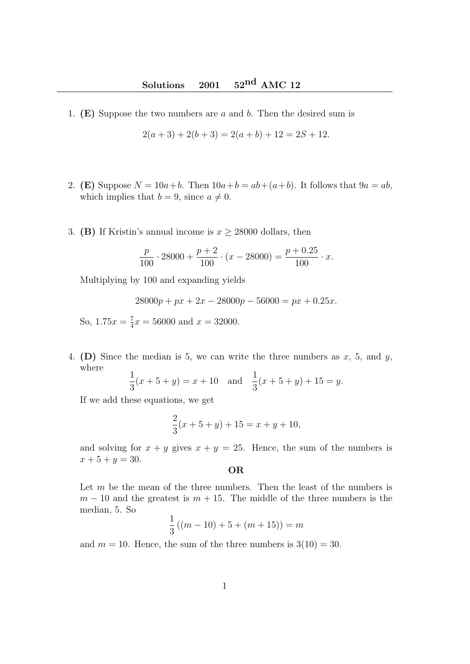1. (E) Suppose the two numbers are  $a$  and  $b$ . Then the desired sum is

$$
2(a+3) + 2(b+3) = 2(a+b) + 12 = 2S + 12.
$$

- 2. (E) Suppose  $N = 10a+b$ . Then  $10a+b = ab+(a+b)$ . It follows that  $9a = ab$ , which implies that  $b = 9$ , since  $a \neq 0$ .
- 3. (B) If Kristin's annual income is  $x \geq 28000$  dollars, then

$$
\frac{p}{100} \cdot 28000 + \frac{p+2}{100} \cdot (x - 28000) = \frac{p+0.25}{100} \cdot x.
$$

Multiplying by 100 and expanding yields

$$
28000p + px + 2x - 28000p - 56000 = px + 0.25x.
$$

So,  $1.75x = \frac{7}{4}$  $\frac{7}{4}x = 56000$  and  $x = 32000$ .

4. (D) Since the median is 5, we can write the three numbers as  $x$ , 5, and  $y$ , where

$$
\frac{1}{3}(x+5+y) = x+10
$$
 and  $\frac{1}{3}(x+5+y) + 15 = y$ .

If we add these equations, we get

$$
\frac{2}{3}(x+5+y) + 15 = x+y+10,
$$

and solving for  $x + y$  gives  $x + y = 25$ . Hence, the sum of the numbers is  $x + 5 + y = 30.$ 

OR

Let  $m$  be the mean of the three numbers. Then the least of the numbers is  $m-10$  and the greatest is  $m+15$ . The middle of the three numbers is the median, 5. So

$$
\frac{1}{3}((m-10)+5+(m+15)) = m
$$

and  $m = 10$ . Hence, the sum of the three numbers is  $3(10) = 30$ .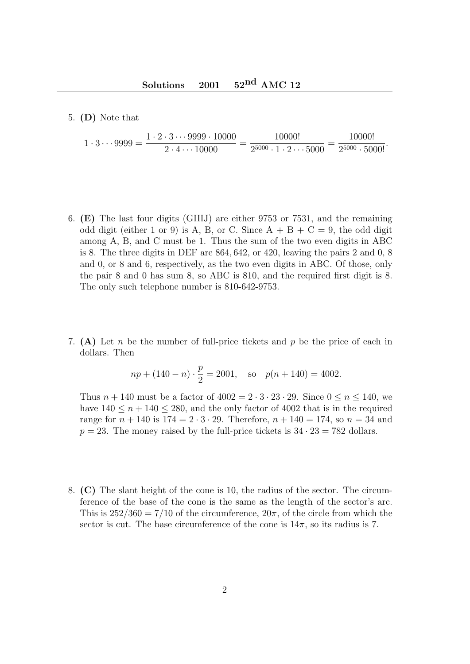5. (D) Note that

 $1 \cdot 3 \cdots 9999 =$  $1 \cdot 2 \cdot 3 \cdot \cdot \cdot 9999 \cdot 10000$  $2 \cdot 4 \cdots 10000$ = 10000!  $\frac{100000}{2^{5000} \cdot 1 \cdot 2 \cdot \cdot \cdot 5000}$  = 10000!  $\frac{100000}{2^{5000} \cdot 5000!}$ 

- 6. (E) The last four digits (GHIJ) are either 9753 or 7531, and the remaining odd digit (either 1 or 9) is A, B, or C. Since  $A + B + C = 9$ , the odd digit among A, B, and C must be 1. Thus the sum of the two even digits in ABC is 8. The three digits in DEF are 864, 642, or 420, leaving the pairs 2 and 0, 8 and 0, or 8 and 6, respectively, as the two even digits in ABC. Of those, only the pair 8 and 0 has sum 8, so ABC is 810, and the required first digit is 8. The only such telephone number is 810-642-9753.
- 7. (A) Let n be the number of full-price tickets and p be the price of each in dollars. Then

$$
np + (140 - n) \cdot \frac{p}{2} = 2001
$$
, so  $p(n + 140) = 4002$ .

Thus  $n + 140$  must be a factor of  $4002 = 2 \cdot 3 \cdot 23 \cdot 29$ . Since  $0 \le n \le 140$ , we have  $140 \leq n + 140 \leq 280$ , and the only factor of 4002 that is in the required range for  $n + 140$  is  $174 = 2 \cdot 3 \cdot 29$ . Therefore,  $n + 140 = 174$ , so  $n = 34$  and  $p = 23$ . The money raised by the full-price tickets is  $34 \cdot 23 = 782$  dollars.

8. (C) The slant height of the cone is 10, the radius of the sector. The circumference of the base of the cone is the same as the length of the sector's arc. This is  $252/360 = 7/10$  of the circumference,  $20\pi$ , of the circle from which the sector is cut. The base circumference of the cone is  $14\pi$ , so its radius is 7.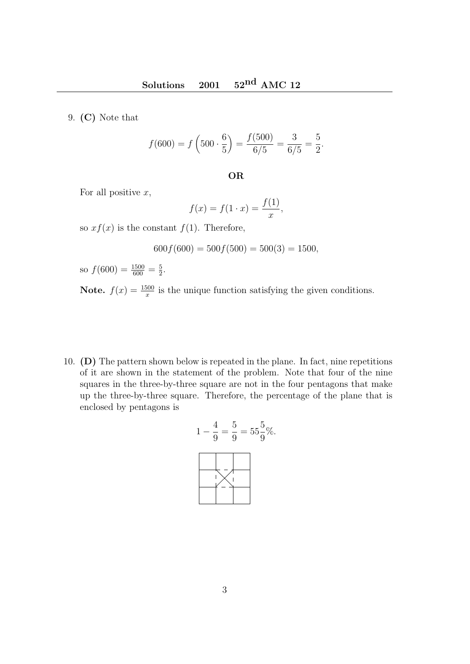9. (C) Note that

$$
f(600) = f\left(500 \cdot \frac{6}{5}\right) = \frac{f(500)}{6/5} = \frac{3}{6/5} = \frac{5}{2}.
$$

OR

For all positive  $x$ ,

$$
f(x) = f(1 \cdot x) = \frac{f(1)}{x},
$$

so  $xf(x)$  is the constant  $f(1)$ . Therefore,

$$
600f(600) = 500f(500) = 500(3) = 1500,
$$

so  $f(600) = \frac{1500}{600} = \frac{5}{2}$  $\frac{5}{2}$ .

**Note.**  $f(x) = \frac{1500}{x}$  is the unique function satisfying the given conditions.

10. (D) The pattern shown below is repeated in the plane. In fact, nine repetitions of it are shown in the statement of the problem. Note that four of the nine squares in the three-by-three square are not in the four pentagons that make up the three-by-three square. Therefore, the percentage of the plane that is enclosed by pentagons is

$$
1 - \frac{4}{9} = \frac{5}{9} = 55\frac{5}{9}\%
$$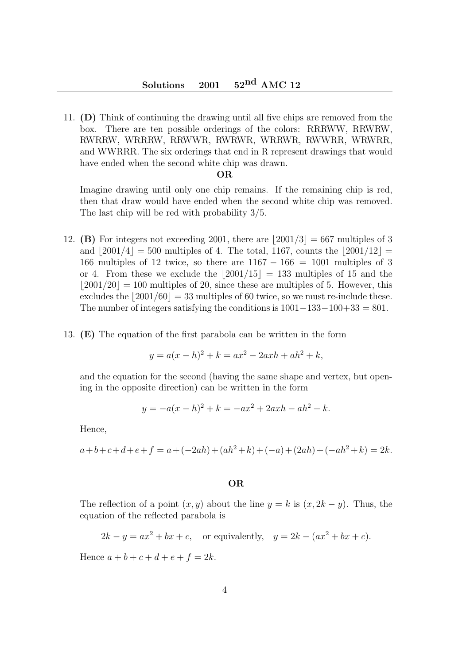11. (D) Think of continuing the drawing until all five chips are removed from the box. There are ten possible orderings of the colors: RRRWW, RRWRW, RWRRW, WRRRW, RRWWR, RWRWR, WRRWR, RWWRR, WRWRR, and WWRRR. The six orderings that end in R represent drawings that would have ended when the second white chip was drawn.

## OR

Imagine drawing until only one chip remains. If the remaining chip is red, then that draw would have ended when the second white chip was removed. The last chip will be red with probability 3/5.

- 12. (B) For integers not exceeding 2001, there are  $|2001/3| = 667$  multiples of 3 and  $|2001/4| = 500$  multiples of 4. The total, 1167, counts the  $|2001/12|$  = 166 multiples of 12 twice, so there are  $1167 - 166 = 1001$  multiples of 3 or 4. From these we exclude the  $|2001/15| = 133$  multiples of 15 and the  $|2001/20| = 100$  multiples of 20, since these are multiples of 5. However, this excludes the  $|2001/60| = 33$  multiples of 60 twice, so we must re-include these. The number of integers satisfying the conditions is  $1001-133-100+33=801$ .
- 13. (E) The equation of the first parabola can be written in the form

$$
y = a(x - h)^2 + k = ax^2 - 2axh + ah^2 + k,
$$

and the equation for the second (having the same shape and vertex, but opening in the opposite direction) can be written in the form

$$
y = -a(x - h)^2 + k = -ax^2 + 2axh - ah^2 + k.
$$

Hence,

$$
a+b+c+d+e+f = a + (-2ah) + (ah2 + k) + (-a) + (2ah) + (-ah2 + k) = 2k.
$$

## OR

The reflection of a point  $(x, y)$  about the line  $y = k$  is  $(x, 2k - y)$ . Thus, the equation of the reflected parabola is

$$
2k - y = ax2 + bx + c,
$$
 or equivalently,  $y = 2k - (ax2 + bx + c).$ 

Hence  $a + b + c + d + e + f = 2k$ .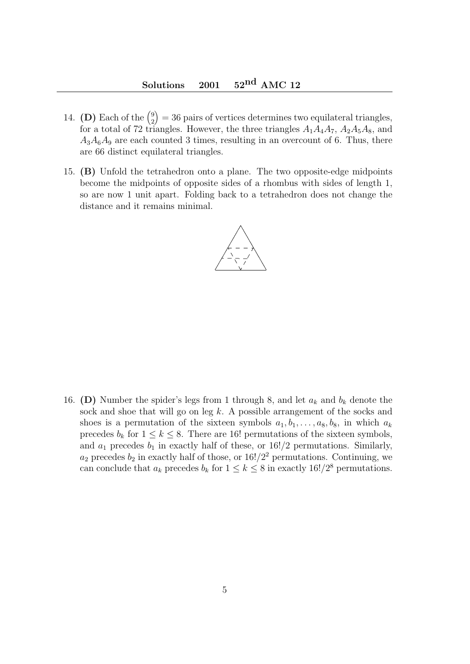- 14. (D) Each of the  $\binom{9}{2}$ 2  $= 36$  pairs of vertices determines two equilateral triangles, for a total of 72 triangles. However, the three triangles  $A_1A_4A_7$ ,  $A_2A_5A_8$ , and  $A_3A_6A_9$  are each counted 3 times, resulting in an overcount of 6. Thus, there are 66 distinct equilateral triangles.
- 15. (B) Unfold the tetrahedron onto a plane. The two opposite-edge midpoints become the midpoints of opposite sides of a rhombus with sides of length 1, so are now 1 unit apart. Folding back to a tetrahedron does not change the distance and it remains minimal.



16. (D) Number the spider's legs from 1 through 8, and let  $a_k$  and  $b_k$  denote the sock and shoe that will go on leg  $k$ . A possible arrangement of the socks and shoes is a permutation of the sixteen symbols  $a_1, b_1, \ldots, a_8, b_8$ , in which  $a_k$ precedes  $b_k$  for  $1 \leq k \leq 8$ . There are 16! permutations of the sixteen symbols, and  $a_1$  precedes  $b_1$  in exactly half of these, or 16!/2 permutations. Similarly,  $a_2$  precedes  $b_2$  in exactly half of those, or  $16!/2^2$  permutations. Continuing, we can conclude that  $a_k$  precedes  $b_k$  for  $1 \leq k \leq 8$  in exactly 16!/2<sup>8</sup> permutations.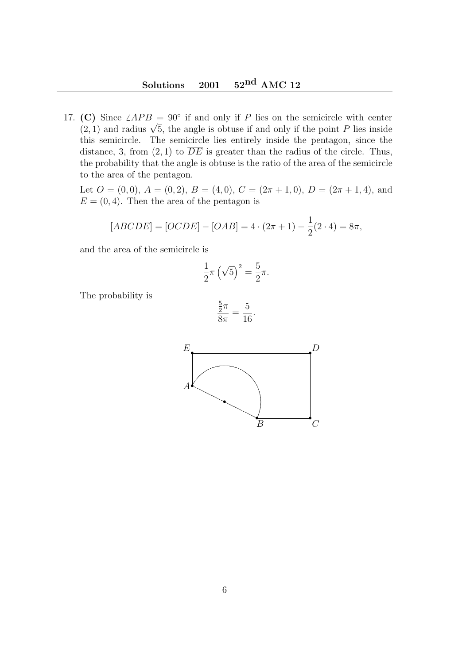17. (C) Since  $\angle APB = 90^\circ$  if and only if P lies on the semicircle with center (C) since  $\angle APB = 90$  if and only if P lies on the semicircle with center (2, 1) and radius  $\sqrt{5}$ , the angle is obtuse if and only if the point P lies inside this semicircle. The semicircle lies entirely inside the pentagon, since the distance, 3, from  $(2, 1)$  to  $\overline{DE}$  is greater than the radius of the circle. Thus, the probability that the angle is obtuse is the ratio of the area of the semicircle to the area of the pentagon.

Let  $O = (0, 0), A = (0, 2), B = (4, 0), C = (2\pi + 1, 0), D = (2\pi + 1, 4),$  and  $E = (0, 4)$ . Then the area of the pentagon is

$$
[ABCDE] = [OCDE] - [OAB] = 4 \cdot (2\pi + 1) - \frac{1}{2}(2 \cdot 4) = 8\pi,
$$

and the area of the semicircle is

$$
\frac{1}{2}\pi \left(\sqrt{5}\right)^2 = \frac{5}{2}\pi.
$$

The probability is

$$
\frac{\frac{5}{2}\pi}{8\pi} = \frac{5}{16}.
$$

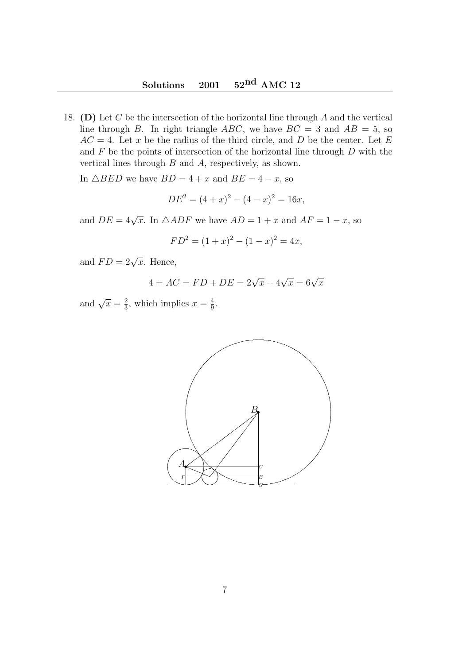18. (D) Let C be the intersection of the horizontal line through  $A$  and the vertical line through B. In right triangle ABC, we have  $BC = 3$  and  $AB = 5$ , so  $AC = 4$ . Let x be the radius of the third circle, and D be the center. Let E and  $F$  be the points of intersection of the horizontal line through  $D$  with the vertical lines through  $B$  and  $A$ , respectively, as shown.

In  $\triangle BED$  we have  $BD = 4 + x$  and  $BE = 4 - x$ , so

$$
DE^2 = (4+x)^2 - (4-x)^2 = 16x
$$

and  $DE = 4\sqrt{x}$ . In  $\triangle ADF$  we have  $AD = 1 + x$  and  $AF = 1 - x$ , so

$$
FD^2 = (1+x)^2 - (1-x)^2 = 4x,
$$

and  $FD = 2\sqrt{x}$ . Hence,

$$
4 = AC = FD + DE = 2\sqrt{x} + 4\sqrt{x} = 6\sqrt{x}
$$

and  $\sqrt{x} = \frac{2}{3}$ , which implies  $x = \frac{4}{9}$ .

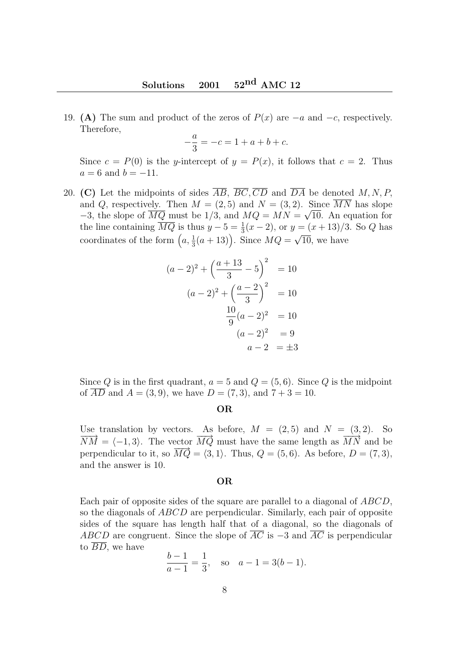19. (A) The sum and product of the zeros of  $P(x)$  are  $-a$  and  $-c$ , respectively. Therefore,

$$
-\frac{a}{3} = -c = 1 + a + b + c.
$$

Since  $c = P(0)$  is the *y*-intercept of  $y = P(x)$ , it follows that  $c = 2$ . Thus  $a = 6$  and  $b = -11$ .

20. (C) Let the midpoints of sides  $\overline{AB}$ ,  $\overline{BC}$ ,  $\overline{CD}$  and  $\overline{DA}$  be denoted  $M, N, P$ . and Q, respectively. Then  $M = (2, 5)$  and  $N = (3, 2)$ . Since MN has slope  $-3$ , the slope of  $\overline{MQ}$  must be 1/3, and  $MQ = MN = \sqrt{10}$ . An equation for the line containing  $\overline{MQ}$  is thus  $y - 5 = \frac{1}{3}(x - 2)$ , or  $y = (x + 13)/3$ . So Q has coordinates of the form  $\left(a, \frac{1}{3}(a+13)\right)$ . Since  $MQ =$ √ 10, we have

$$
(a-2)^2 + \left(\frac{a+13}{3} - 5\right)^2 = 10
$$
  
\n
$$
(a-2)^2 + \left(\frac{a-2}{3}\right)^2 = 10
$$
  
\n
$$
\frac{10}{9}(a-2)^2 = 10
$$
  
\n
$$
(a-2)^2 = 9
$$
  
\n
$$
a-2 = \pm 3
$$

Since Q is in the first quadrant,  $a = 5$  and  $Q = (5, 6)$ . Since Q is the midpoint of  $\overline{AD}$  and  $A = (3, 9)$ , we have  $D = (7, 3)$ , and  $7 + 3 = 10$ .

## OR

Use translation by vectors. As before,  $M = (2, 5)$  and  $N = (3, 2)$ . So  $\overrightarrow{NM} = \langle -1, 3 \rangle$ . The vector  $\overrightarrow{MQ}$  must have the same length as  $\overrightarrow{MN}$  and be perpendicular to it, so  $\overrightarrow{MQ} = \langle 3, 1 \rangle$ . Thus,  $Q = (5, 6)$ . As before,  $D = (7, 3)$ , and the answer is 10.

## OR

Each pair of opposite sides of the square are parallel to a diagonal of ABCD, so the diagonals of ABCD are perpendicular. Similarly, each pair of opposite sides of the square has length half that of a diagonal, so the diagonals of ABCD are congruent. Since the slope of  $\overline{AC}$  is  $-3$  and  $\overline{AC}$  is perpendicular to  $\overline{BD}$ , we have

$$
\frac{b-1}{a-1} = \frac{1}{3}, \text{ so } a-1 = 3(b-1).
$$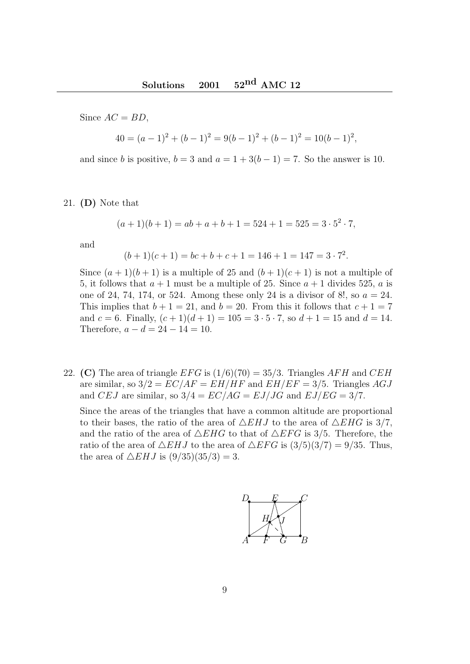Since  $AC = BD$ ,

$$
40 = (a-1)2 + (b-1)2 = 9(b-1)2 + (b-1)2 = 10(b-1)2,
$$

and since b is positive,  $b = 3$  and  $a = 1 + 3(b - 1) = 7$ . So the answer is 10.

21. (D) Note that

$$
(a+1)(b+1) = ab + a + b + 1 = 524 + 1 = 525 = 3 \cdot 5^2 \cdot 7,
$$

and

$$
(b+1)(c+1) = bc + b + c + 1 = 146 + 1 = 147 = 3 \cdot 7^2.
$$

Since  $(a + 1)(b + 1)$  is a multiple of 25 and  $(b + 1)(c + 1)$  is not a multiple of 5, it follows that  $a + 1$  must be a multiple of 25. Since  $a + 1$  divides 525, a is one of 24, 74, 174, or 524. Among these only 24 is a divisor of 8!, so  $a = 24$ . This implies that  $b + 1 = 21$ , and  $b = 20$ . From this it follows that  $c + 1 = 7$ and  $c = 6$ . Finally,  $(c + 1)(d + 1) = 105 = 3 \cdot 5 \cdot 7$ , so  $d + 1 = 15$  and  $d = 14$ . Therefore,  $a - d = 24 - 14 = 10$ .

22. (C) The area of triangle  $EFG$  is  $(1/6)(70) = 35/3$ . Triangles AFH and CEH are similar, so  $3/2 = EC/AF = EH/HF$  and  $EH/EF = 3/5$ . Triangles AGJ and CEJ are similar, so  $3/4 = EC/AG = EJ/JG$  and  $EJ/EG = 3/7$ .

Since the areas of the triangles that have a common altitude are proportional to their bases, the ratio of the area of  $\triangle E HJ$  to the area of  $\triangle E HG$  is 3/7, and the ratio of the area of  $\triangle EHG$  to that of  $\triangle EFG$  is 3/5. Therefore, the ratio of the area of  $\triangle E HJ$  to the area of  $\triangle E F G$  is  $(3/5)(3/7) = 9/35$ . Thus, the area of  $\triangle E H J$  is  $(9/35)(35/3) = 3$ .

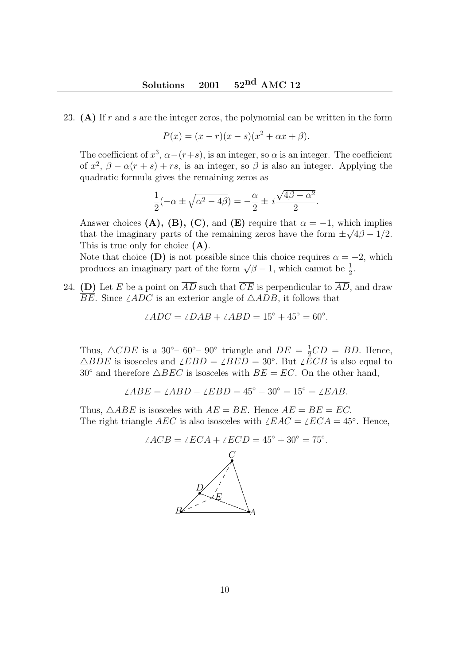23. (A) If r and s are the integer zeros, the polynomial can be written in the form

$$
P(x) = (x - r)(x - s)(x2 + \alpha x + \beta).
$$

The coefficient of  $x^3$ ,  $\alpha - (r+s)$ , is an integer, so  $\alpha$  is an integer. The coefficient of  $x^2$ ,  $\beta - \alpha(r + s) + rs$ , is an integer, so  $\beta$  is also an integer. Applying the quadratic formula gives the remaining zeros as

$$
\frac{1}{2}(-\alpha \pm \sqrt{\alpha^2 - 4\beta}) = -\frac{\alpha}{2} \pm i\frac{\sqrt{4\beta - \alpha^2}}{2}.
$$

Answer choices (A), (B), (C), and (E) require that  $\alpha = -1$ , which implies that the imaginary parts of the remaining zeros have the form  $\pm \sqrt{4\beta - 1}/2$ . This is true only for choice  $(A)$ .

Note that choice (D) is not possible since this choice requires  $\alpha = -2$ , which Note that choice (D) is not possible since this choice requires  $\alpha = -$ <br>produces an imaginary part of the form  $\sqrt{\beta - 1}$ , which cannot be  $\frac{1}{2}$ .

24. (D) Let E be a point on  $\overline{AD}$  such that  $\overline{CE}$  is perpendicular to  $\overline{AD}$ , and draw  $\overline{BE}$ . Since  $\angle ADC$  is an exterior angle of  $\triangle ADB$ , it follows that

 $\angle ADC = \angle DAB + \angle ABD = 15^{\circ} + 45^{\circ} = 60^{\circ}.$ 

Thus,  $\triangle CDE$  is a 30<sup>°</sup>– 60<sup>°</sup>– 90<sup>°</sup> triangle and  $DE = \frac{1}{2}CD = BD$ . Hence,  $\triangle BDE$  is isosceles and  $\angle EBD = \angle BED = 30^{\circ}$ . But  $\angle ECB$  is also equal to  $30^{\circ}$  and therefore  $\triangle BEC$  is isosceles with  $BE = EC$ . On the other hand,

$$
\angle ABE = \angle ABD - \angle EBD = 45^{\circ} - 30^{\circ} = 15^{\circ} = \angle EAB.
$$

Thus,  $\triangle ABE$  is isosceles with  $AE = BE$ . Hence  $AE = BE = EC$ . The right triangle AEC is also isosceles with  $\angle EAC = \angle ECA = 45°$ . Hence,

$$
\angle ACB = \angle ECA + \angle ECD = 45^{\circ} + 30^{\circ} = 75^{\circ}.
$$